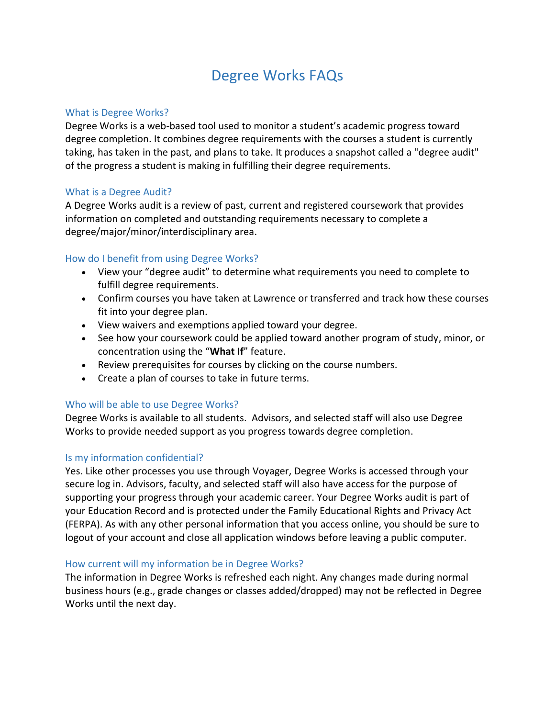# Degree Works FAQs

### What is Degree Works?

Degree Works is a web-based tool used to monitor a student's academic progress toward degree completion. It combines degree requirements with the courses a student is currently taking, has taken in the past, and plans to take. It produces a snapshot called a "degree audit" of the progress a student is making in fulfilling their degree requirements.

### What is a Degree Audit?

A Degree Works audit is a review of past, current and registered coursework that provides information on completed and outstanding requirements necessary to complete a degree/major/minor/interdisciplinary area.

### How do I benefit from using Degree Works?

- View your "degree audit" to determine what requirements you need to complete to fulfill degree requirements.
- Confirm courses you have taken at Lawrence or transferred and track how these courses fit into your degree plan.
- View waivers and exemptions applied toward your degree.
- See how your coursework could be applied toward another program of study, minor, or concentration using the "**What If**" feature.
- Review prerequisites for courses by clicking on the course numbers.
- Create a plan of courses to take in future terms.

### Who will be able to use Degree Works?

Degree Works is available to all students. Advisors, and selected staff will also use Degree Works to provide needed support as you progress towards degree completion.

### Is my information confidential?

Yes. Like other processes you use through Voyager, Degree Works is accessed through your secure log in. Advisors, faculty, and selected staff will also have access for the purpose of supporting your progress through your academic career. Your Degree Works audit is part of your Education Record and is protected under the Family Educational Rights and Privacy Act (FERPA). As with any other personal information that you access online, you should be sure to logout of your account and close all application windows before leaving a public computer.

#### How current will my information be in Degree Works?

The information in Degree Works is refreshed each night. Any changes made during normal business hours (e.g., grade changes or classes added/dropped) may not be reflected in Degree Works until the next day.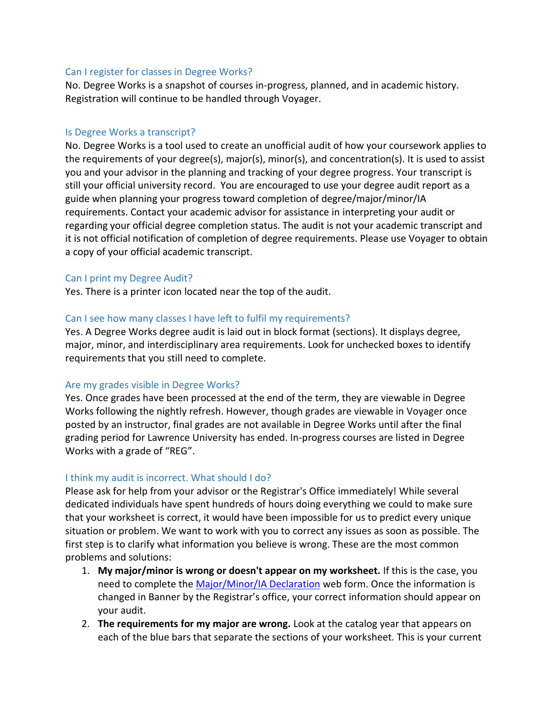### Can I register for classes in Degree Works?

No. Degree Works is a snapshot of courses in-progress, planned, and in academic history. Registration will continue to be handled through Voyager.

### Is Degree Works a transcript?

No. Degree Works is a tool used to create an unofficial audit of how your coursework applies to the requirements of your degree(s), major(s), minor(s), and concentration(s). It is used to assist you and your advisor in the planning and tracking of your degree progress. Your transcript is still your official university record. You are encouraged to use your degree audit report as a guide when planning your progress toward completion of degree/major/minor/IA requirements. Contact your academic advisor for assistance in interpreting your audit or regarding your official degree completion status. The audit is not your academic transcript and it is not official notification of completion of degree requirements. Please use Voyager to obtain a copy of your official academic transcript.

### Can I print my Degree Audit?

Yes. There is a printer icon located near the top of the audit.

### Can I see how many classes I have left to fulfil my requirements?

Yes. A Degree Works degree audit is laid out in block format (sections). It displays degree, major, minor, and interdisciplinary area requirements. Look for unchecked boxes to identify requirements that you still need to complete.

### Are my grades visible in Degree Works?

Yes. Once grades have been processed at the end of the term, they are viewable in Degree Works following the nightly refresh. However, though grades are viewable in Voyager once posted by an instructor, final grades are not available in Degree Works until after the final grading period for Lawrence University has ended. In-progress courses are listed in Degree Works with a grade of "REG".

### I think my audit is incorrect. What should I do?

Please ask for help from your advisor or the Registrar's Office immediately! While several dedicated individuals have spent hundreds of hours doing everything we could to make sure that your worksheet is correct, it would have been impossible for us to predict every unique situation or problem. We want to work with you to correct any issues as soon as possible. The first step is to clarify what information you believe is wrong. These are the most common problems and solutions:

- 1. **My major/minor is wrong or doesn't appear on my worksheet.** If this is the case, you need to complete the [Major/Minor/IA Declaration](https://www.lawrence.edu/user/login?current=s/registrar/forms/declaration-of-major&b4r=1) web form. Once the information is changed in Banner by the Registrar's office, your correct information should appear on your audit.
- 2. **The requirements for my major are wrong.** Look at the catalog year that appears on each of the blue bars that separate the sections of your worksheet. This is your current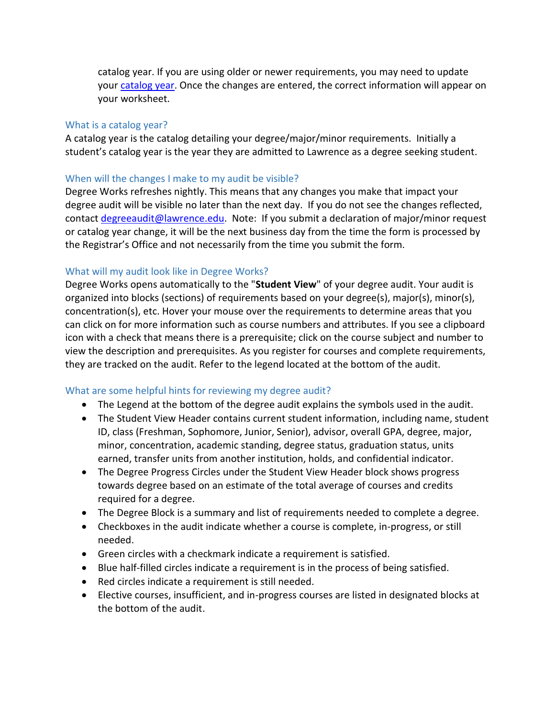catalog year. If you are using older or newer requirements, you may need to update your [catalog](https://www.lawrence.edu/mw/REQUEST_TO_CHANGE_CATALOG_YEAR.pdf) year. Once the changes are entered, the correct information will appear on your worksheet.

### What is a catalog year?

A catalog year is the catalog detailing your degree/major/minor requirements. Initially a student's catalog year is the year they are admitted to Lawrence as a degree seeking student.

### When will the changes I make to my audit be visible?

Degree Works refreshes nightly. This means that any changes you make that impact your degree audit will be visible no later than the next day. If you do not see the changes reflected, contact [degreeaudit@lawrence.edu.](mailto:degreeaudit@lawrence.edu) Note: If you submit a declaration of major/minor request or catalog year change, it will be the next business day from the time the form is processed by the Registrar's Office and not necessarily from the time you submit the form.

### What will my audit look like in Degree Works?

Degree Works opens automatically to the "**Student View**" of your degree audit. Your audit is organized into blocks (sections) of requirements based on your degree(s), major(s), minor(s), concentration(s), etc. Hover your mouse over the requirements to determine areas that you can click on for more information such as course numbers and attributes. If you see a clipboard icon with a check that means there is a prerequisite; click on the course subject and number to view the description and prerequisites. As you register for courses and complete requirements, they are tracked on the audit. Refer to the legend located at the bottom of the audit.

### What are some helpful hints for reviewing my degree audit?

- The Legend at the bottom of the degree audit explains the symbols used in the audit.
- The Student View Header contains current student information, including name, student ID, class (Freshman, Sophomore, Junior, Senior), advisor, overall GPA, degree, major, minor, concentration, academic standing, degree status, graduation status, units earned, transfer units from another institution, holds, and confidential indicator.
- The Degree Progress Circles under the Student View Header block shows progress towards degree based on an estimate of the total average of courses and credits required for a degree.
- The Degree Block is a summary and list of requirements needed to complete a degree.
- Checkboxes in the audit indicate whether a course is complete, in-progress, or still needed.
- Green circles with a checkmark indicate a requirement is satisfied.
- Blue half-filled circles indicate a requirement is in the process of being satisfied.
- Red circles indicate a requirement is still needed.
- Elective courses, insufficient, and in-progress courses are listed in designated blocks at the bottom of the audit.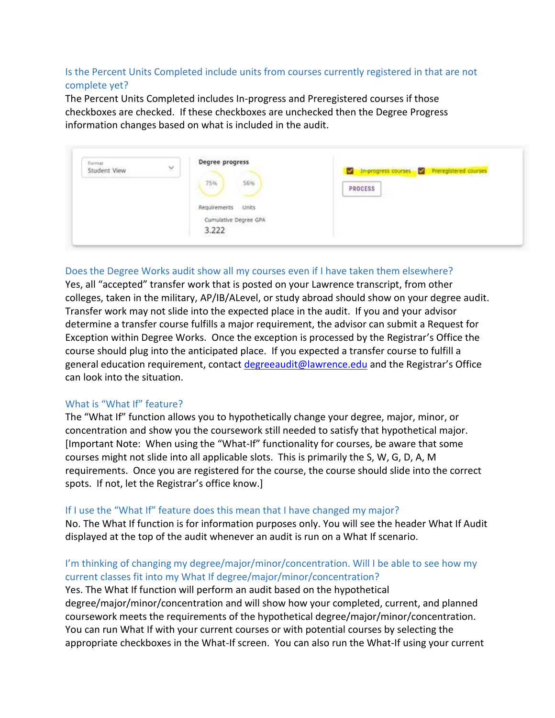# Is the Percent Units Completed include units from courses currently registered in that are not complete yet?

The Percent Units Completed includes In-progress and Preregistered courses if those checkboxes are checked. If these checkboxes are unchecked then the Degree Progress information changes based on what is included in the audit.

| Format<br>$\checkmark$ | Degree progress       |                                             |
|------------------------|-----------------------|---------------------------------------------|
| Student View           | <b>CAUSE</b>          | in-progress courses D Preregistered courses |
|                        | 75%<br>56%            | PROCESS                                     |
|                        |                       | <b>MARKET WAR</b>                           |
|                        |                       |                                             |
|                        | Requirements Units    |                                             |
|                        | Cumulative Degree GPA |                                             |
|                        | 3.222                 |                                             |

### Does the Degree Works audit show all my courses even if I have taken them elsewhere?

Yes, all "accepted" transfer work that is posted on your Lawrence transcript, from other colleges, taken in the military, AP/IB/ALevel, or study abroad should show on your degree audit. Transfer work may not slide into the expected place in the audit. If you and your advisor determine a transfer course fulfills a major requirement, the advisor can submit a Request for Exception within Degree Works. Once the exception is processed by the Registrar's Office the course should plug into the anticipated place. If you expected a transfer course to fulfill a general education requirement, contact [degreeaudit@lawrence.edu](mailto:degreeaudit@lawrence.edu) and the Registrar's Office can look into the situation.

### What is "What If" feature?

The "What If" function allows you to hypothetically change your degree, major, minor, or concentration and show you the coursework still needed to satisfy that hypothetical major. [Important Note: When using the "What-If" functionality for courses, be aware that some courses might not slide into all applicable slots. This is primarily the S, W, G, D, A, M requirements. Once you are registered for the course, the course should slide into the correct spots. If not, let the Registrar's office know.]

### If I use the "What If" feature does this mean that I have changed my major?

No. The What If function is for information purposes only. You will see the header What If Audit displayed at the top of the audit whenever an audit is run on a What If scenario.

### I'm thinking of changing my degree/major/minor/concentration. Will I be able to see how my current classes fit into my What If degree/major/minor/concentration?

Yes. The What If function will perform an audit based on the hypothetical degree/major/minor/concentration and will show how your completed, current, and planned coursework meets the requirements of the hypothetical degree/major/minor/concentration. You can run What If with your current courses or with potential courses by selecting the appropriate checkboxes in the What-If screen. You can also run the What-If using your current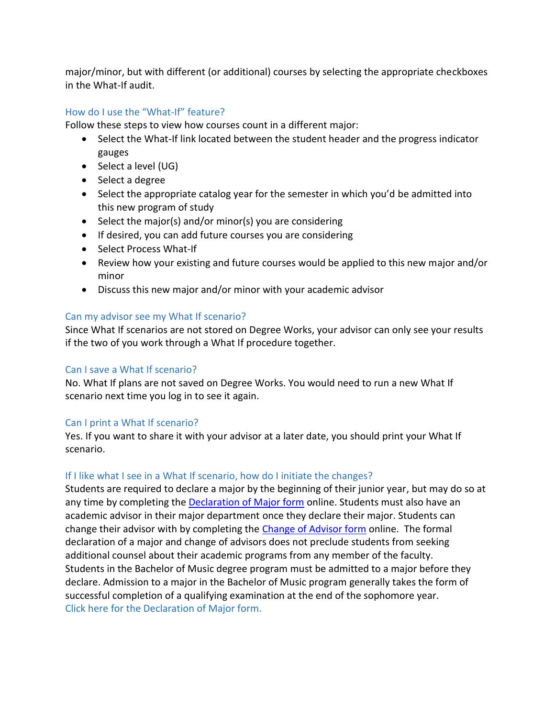major/minor, but with different (or additional) courses by selecting the appropriate checkboxes in the What-If audit.

# How do I use the "What-If" feature?

Follow these steps to view how courses count in a different major:

- Select the What-If link located between the student header and the progress indicator gauges
- $\bullet$  Select a level (UG)
- Select a degree
- Select the appropriate catalog year for the semester in which you'd be admitted into this new program of study
- $\bullet$  Select the major(s) and/or minor(s) you are considering
- If desired, you can add future courses you are considering
- Select Process What-If
- Review how your existing and future courses would be applied to this new major and/or minor
- Discuss this new major and/or minor with your academic advisor

# Can my advisor see my What If scenario?

Since What If scenarios are not stored on Degree Works, your advisor can only see your results if the two of you work through a What If procedure together.

# Can I save a What If scenario?

No. What If plans are not saved on Degree Works. You would need to run a new What If scenario next time you log in to see it again.

# Can I print a What If scenario?

Yes. If you want to share it with your advisor at a later date, you should print your What If scenario.

# If I like what I see in a What If scenario, how do I initiate the changes?

Students are required to declare a major by the beginning of their junior year, but may do so at any time by completing the [Declaration of Major form](https://www.lawrence.edu/user/login?current=s/registrar/forms/declaration-of-major&b4r=1) online. Students must also have an academic advisor in their major department once they declare their major. Students can change their advisor with by completing the [Change of Advisor form](https://cas.lawrence.edu/login?service=https%3A//forms.lawrence.edu/casservice%3Fdestination%3D/user/login%253Fdestination%253D%25252Fform%25252Facademic-advisor-change) online. The formal declaration of a major and change of advisors does not preclude students from seeking additional counsel about their academic programs from any member of the faculty. Students in the Bachelor of Music degree program must be admitted to a major before they declare. Admission to a major in the Bachelor of Music program generally takes the form of successful completion of a qualifying examination at the end of the sophomore year. [Click here for the Declaration of Major form.](https://www.lawrence.edu/s/registrar/forms/declaration-of-major)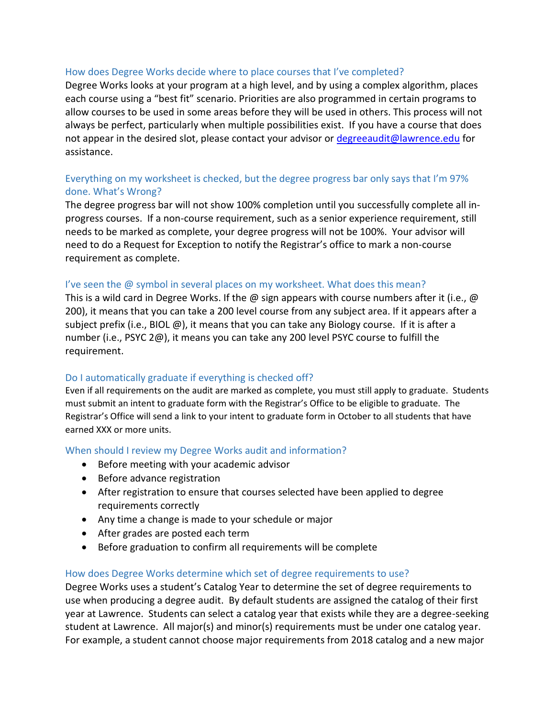### How does Degree Works decide where to place courses that I've completed?

Degree Works looks at your program at a high level, and by using a complex algorithm, places each course using a "best fit" scenario. Priorities are also programmed in certain programs to allow courses to be used in some areas before they will be used in others. This process will not always be perfect, particularly when multiple possibilities exist. If you have a course that does not appear in the desired slot, please contact your advisor or [degreeaudit@lawrence.edu](mailto:degreeaudit@lawrence.edu) for assistance.

# Everything on my worksheet is checked, but the degree progress bar only says that I'm 97% done. What's Wrong?

The degree progress bar will not show 100% completion until you successfully complete all in‐ progress courses. If a non-course requirement, such as a senior experience requirement, still needs to be marked as complete, your degree progress will not be 100%. Your advisor will need to do a Request for Exception to notify the Registrar's office to mark a non-course requirement as complete.

### I've seen the @ symbol in several places on my worksheet. What does this mean?

This is a wild card in Degree Works. If the  $\omega$  sign appears with course numbers after it (i.e.,  $\omega$ 200), it means that you can take a 200 level course from any subject area. If it appears after a subject prefix (i.e., BIOL  $(\emptyset)$ ), it means that you can take any Biology course. If it is after a number (i.e., PSYC 2@), it means you can take any 200 level PSYC course to fulfill the requirement.

### Do I automatically graduate if everything is checked off?

Even if all requirements on the audit are marked as complete, you must still apply to graduate. Students must submit an intent to graduate form with the Registrar's Office to be eligible to graduate. The Registrar's Office will send a link to your intent to graduate form in October to all students that have earned XXX or more units.

#### When should I review my Degree Works audit and information?

- Before meeting with your academic advisor
- Before advance registration
- After registration to ensure that courses selected have been applied to degree requirements correctly
- Any time a change is made to your schedule or major
- After grades are posted each term
- Before graduation to confirm all requirements will be complete

#### How does Degree Works determine which set of degree requirements to use?

Degree Works uses a student's Catalog Year to determine the set of degree requirements to use when producing a degree audit. By default students are assigned the catalog of their first year at Lawrence. Students can select a catalog year that exists while they are a degree-seeking student at Lawrence. All major(s) and minor(s) requirements must be under one catalog year. For example, a student cannot choose major requirements from 2018 catalog and a new major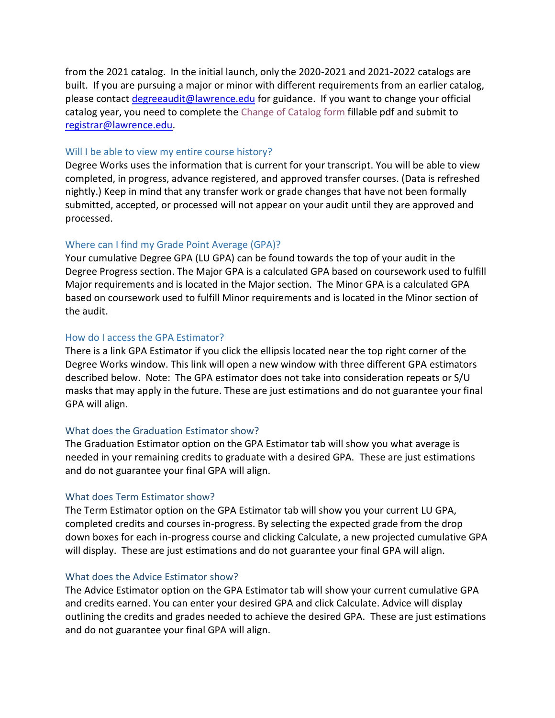from the 2021 catalog. In the initial launch, only the 2020-2021 and 2021-2022 catalogs are built. If you are pursuing a major or minor with different requirements from an earlier catalog, please contact [degreeaudit@lawrence.edu](mailto:degreeaudit@lawrence.edu) for guidance. If you want to change your official catalog year, you need to complete the [Change of Catalog form](https://www.lawrence.edu/mw/REQUEST_TO_CHANGE_CATALOG_YEAR.pdf) fillable pdf and submit to [registrar@lawrence.edu.](mailto:registrar@lawrence.edu)

### Will I be able to view my entire course history?

Degree Works uses the information that is current for your transcript. You will be able to view completed, in progress, advance registered, and approved transfer courses. (Data is refreshed nightly.) Keep in mind that any transfer work or grade changes that have not been formally submitted, accepted, or processed will not appear on your audit until they are approved and processed.

### Where can I find my Grade Point Average (GPA)?

Your cumulative Degree GPA (LU GPA) can be found towards the top of your audit in the Degree Progress section. The Major GPA is a calculated GPA based on coursework used to fulfill Major requirements and is located in the Major section. The Minor GPA is a calculated GPA based on coursework used to fulfill Minor requirements and is located in the Minor section of the audit.

### How do I access the GPA Estimator?

There is a link GPA Estimator if you click the ellipsis located near the top right corner of the Degree Works window. This link will open a new window with three different GPA estimators described below. Note: The GPA estimator does not take into consideration repeats or S/U masks that may apply in the future. These are just estimations and do not guarantee your final GPA will align.

### What does the Graduation Estimator show?

The Graduation Estimator option on the GPA Estimator tab will show you what average is needed in your remaining credits to graduate with a desired GPA. These are just estimations and do not guarantee your final GPA will align.

### What does Term Estimator show?

The Term Estimator option on the GPA Estimator tab will show you your current LU GPA, completed credits and courses in-progress. By selecting the expected grade from the drop down boxes for each in-progress course and clicking Calculate, a new projected cumulative GPA will display. These are just estimations and do not guarantee your final GPA will align.

#### What does the Advice Estimator show?

The Advice Estimator option on the GPA Estimator tab will show your current cumulative GPA and credits earned. You can enter your desired GPA and click Calculate. Advice will display outlining the credits and grades needed to achieve the desired GPA. These are just estimations and do not guarantee your final GPA will align.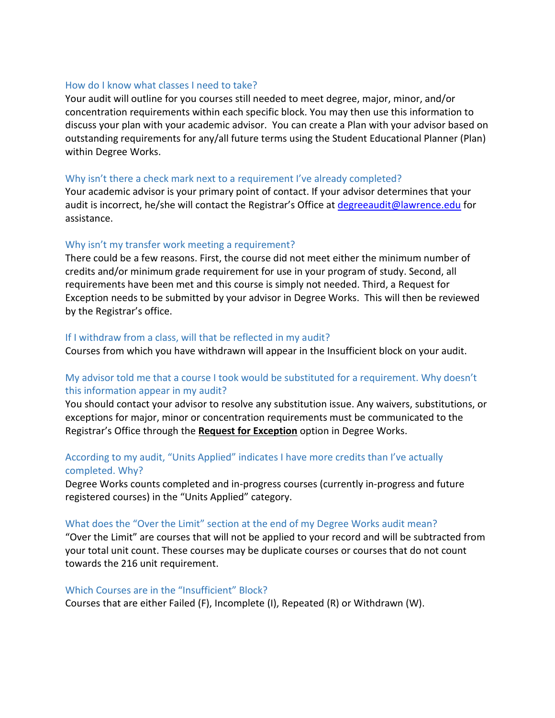### How do I know what classes I need to take?

Your audit will outline for you courses still needed to meet degree, major, minor, and/or concentration requirements within each specific block. You may then use this information to discuss your plan with your academic advisor. You can create a Plan with your advisor based on outstanding requirements for any/all future terms using the Student Educational Planner (Plan) within Degree Works.

### Why isn't there a check mark next to a requirement I've already completed?

Your academic advisor is your primary point of contact. If your advisor determines that your audit is incorrect, he/she will contact the Registrar's Office at [degreeaudit@lawrence.edu](mailto:degreeaudit@lawrence.edu) for assistance.

### Why isn't my transfer work meeting a requirement?

There could be a few reasons. First, the course did not meet either the minimum number of credits and/or minimum grade requirement for use in your program of study. Second, all requirements have been met and this course is simply not needed. Third, a Request for Exception needs to be submitted by your advisor in Degree Works. This will then be reviewed by the Registrar's office.

### If I withdraw from a class, will that be reflected in my audit?

Courses from which you have withdrawn will appear in the Insufficient block on your audit.

# My advisor told me that a course I took would be substituted for a requirement. Why doesn't this information appear in my audit?

You should contact your advisor to resolve any substitution issue. Any waivers, substitutions, or exceptions for major, minor or concentration requirements must be communicated to the Registrar's Office through the **Request for Exception** option in Degree Works.

### According to my audit, "Units Applied" indicates I have more credits than I've actually completed. Why?

Degree Works counts completed and in-progress courses (currently in-progress and future registered courses) in the "Units Applied" category.

#### What does the "Over the Limit" section at the end of my Degree Works audit mean?

"Over the Limit" are courses that will not be applied to your record and will be subtracted from your total unit count. These courses may be duplicate courses or courses that do not count towards the 216 unit requirement.

#### Which Courses are in the "Insufficient" Block?

Courses that are either Failed (F), Incomplete (I), Repeated (R) or Withdrawn (W).